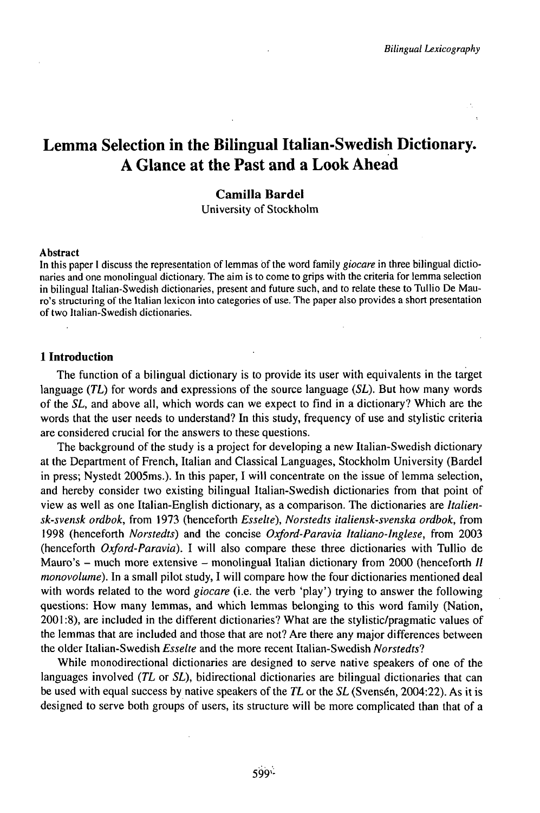# Lemma Selection in the Bilingual Italian-Swedish Dictionary. A Glance at the Past and a Look Ahead

# **Camilla BardeI**

University of Stockholm

### Abstract

In this paper I discuss the representation of lemmas of the word family *giocare* in three bilingual dictionaries and one monolingual dictionary. The aim is to come to grips with the criteria for lemma selection in bilingual Italian-Swedish dictionaries, present and future such, and to relate these to Tullio De Mauro's structuring of the Italian lexicon into categories of use. The paper also provides a short presentation of two Italian-Swedish dictionaries.

## **1 Introduction**

The function of a bilingual dictionary is to provide its user with equivalents in the target language *{TL)* for words and expressions of the source language *{SL).* But how many words of the *SL,* and above all, which words can we expect to find in a dictionary? Which are the words that the user needs to understand? In this study, frequency of use and stylistic criteria are considered crucial for the answers to these questions.

The background of the study is a project for developing a new Italian-Swedish dictionary at the Department of French, Italian and Classical Languages, Stockholm University (Bardel in press; Nystedt 2005ms.). In this paper, I will concentrate on the issue of lemma selection, and hereby consider two existing bilingual Italian-Swedish dictionaries from that point of view as well as one Italian-English dictionary, as a comparison. The dictionaries are *Italiensk-svensk ordbok,* from 1973 (henceforth *Esselte), Norstedts italiensk-svenska ordbok,* from 1998 (henceforth *Norstedts)* and the concise *Oxford-Paravia Italiano-Inglese,* from 2003 (henceforth *Oxford-Paravia).* I will also compare these three dictionaries with Tullio de Mauro's  $-$  much more extensive  $-$  monolingual Italian dictionary from 2000 (henceforth *II monovolume*). In a small pilot study, I will compare how the four dictionaries mentioned deal with words related to the word *giocare* (i.e. the verb 'play') trying to answer the following questions: How many lemmas, and which lemmas belonging to this word family (Nation, 2001:8), are included in the different dictionaries? What are the stylistic/pragmatic values of the lemmas that are included and those that are not? Are there any major differences between the older Italian-Swedish *Esselte* and the more recent Italian-Swedish *Norstedts?*

While monodirectional dictionaries are designed to serve native speakers of one of the languages involved *(TL* or *SĽ),* bidirectional dictionaries are bilingual dictionaries that can be used with equal success by native speakers ofthe *TL* or the *SL* (Svensén, 2004:22). As it is designed to serve both groups of users, its structure will be more complicated than that of a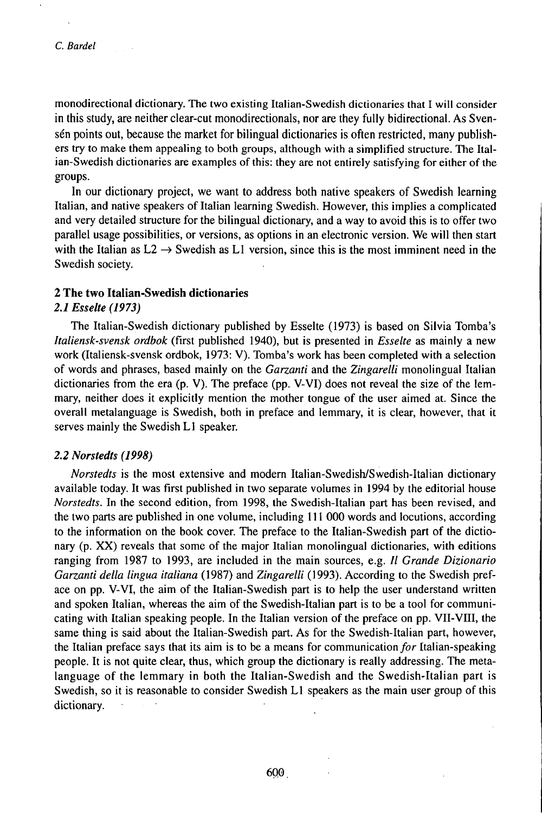monodirectional dictionary. The two existing Italian-Swedish dictionaries that I will consider in this study, are neither clear-cut monodirectionals, nor are they fully bidirectional. As Svensén points out, because the market for bilingual dictionaries is often restricted, many publishers try to make them appealing to both groups, although with a simplified structure. The Italian-Swedish dictionaries are examples of this: they are not entirely satisfying for either of the groups.

In our dictionary project, we want to address both native speakers of Swedish learning Italian, and native speakers of Italian learning Swedish. However, this implies a complicated and very detailed structure for the bilingual dictionary, and a way to avoid this is to offer two parallel usage possibilities, or versions, as options in an electronic version. We will then start with the Italian as  $L2 \rightarrow S$  wedish as L1 version, since this is the most imminent need in the Swedish society.

### **2 The two Italian-Swedish dictionaries**

## *2.1 Esselte (1973)*

The Italian-Swedish dictionary published by Esselte (1973) is based on Silvia Tomba's *Italiensk-svensk ordbok* (first published 1940), but is presented in *Esselte* as mainly a new work (Italiensk-svensk ordbok, 1973: V). Tomba's work has been completed with a selection of words and phrases, based mainly on the *Garzanti* and the *Zingarelli* monolingual Italian dictionaries from the era  $(p, V)$ . The preface  $(pp, V-VI)$  does not reveal the size of the lemmary, neither does it explicitly mention the mother tongue of the user aimed at. Since the overall metalanguage is Swedish, both in preface and lemmary, it is clear, however, that it serves mainly the Swedish L1 speaker.

### *2.2 Norstedts (1998)*

*Norstedts* is the most extensive and modern Italian-Swedish/Swedish-Italian dictionary available today. It was first published in two separate volumes in 1994 by the editorial house *Norstedts.* In the second edition, from 1998, the Swedish-Italian part has been revised, and the two parts are published in one volume, including 111 000 words and locutions, according to the information on the book cover. The preface to the Italian-Swedish part of the dictionary (p. XX) reveals that some of the major Italian monolingual dictionaries, with editions ranging from 1987 to 1993, are included in the main sources, e.g. *II Grande Dizionario Garzanti della lingua italiana* (1987) and *Zingarelli* (1993). According to the Swedish preface on pp. V-VI, the aim of the Italian-Swedish part is to help the user understand written and spoken Italian, whereas the aim of the Swedish-Italian part is to be a tool for communicating with Italian speaking people. In the Italian version of the preface on pp. VII-VIII, the same thing is said about the Italian-Swedish part. As for the Swedish-Italian part, however, the Italian preface says that its aim is to be a means for communication for Italian-speaking people. It is not quite clear, thus, which group the dictionary is really addressing. The metalanguage of the lemmary in both the Italian-Swedish and the Swedish-Italian part is Swedish, so it is reasonable to consider Swedish L1 speakers as the main user group of this dictionary.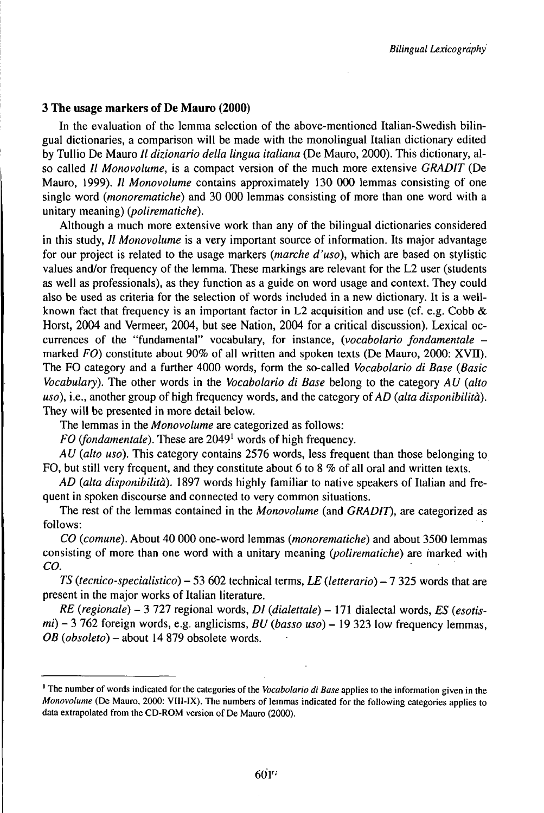## **3 The usage markers of De Mauro (2000)**

In the evaluation of the lemma selection of the above-mentioned Italian-Swedish bilingual dictionaries, a comparison will be made with the monolingual Italian dictionary edited by Tullio De Mauro // *dizionario della lingua italiana* (De Mauro, 2000). This dictionary, also called // *Monovolume,* is a compact version of the much more extensive *GRADIT* (De Mauro, 1999). // *Monovolume* contains approximately 130 000 lemmas consisting of one single word *{monorematiche)* and 30 000 lemmas consisting of more than one word with a unitary meaning) (*polirematiche*).

Although a much more extensive work than any of the bilingual dictionaries considered in this study, // *Monovolume* is a very important source of information. Its major advantage for our project is related to the usage markers *{marche d'uso),* which are based on stylistic values and/or frequency of the lemma. These markings are relevant for the L2 user (students as well as professionals), as they function as a guide on word usage and context. They could also be used as criteria for the selection of words included in a new dictionary. It is a wellknown fact that frequency is an important factor in L2 acquisition and use (cf. e.g. Cobb  $\&$ Horst, 2004 and Vermeer, 2004, but see Nation, 2004 for a critical discussion). Lexical occurrences of the "fundamental" vocabulary, for instance, *{vocabolario fondamentale*  marked *FO)* constitute about 90% of all written and spoken texts (De Mauro, 2000: XVII). The FO category and a further 4000 words, form the so-called *Vocabolario di Base (Basic Vocabulary).* The other words in the *Vocabolario di Base* belong to the category *AU (alto uso*), i.e., another group of high frequency words, and the category of AD (alta *disponibilità*). They will be presented in more detail below.

The lemmas in the *Monovolume* are categorized as follows:

*FO* (fondamentale). These are 2049<sup>1</sup> words of high frequency.

*A U (alto uso).* This category contains 2576 words, less frequent than those belonging to FO, but still very frequent, and they constitute about 6 to 8 % of all oral and written texts.

*AD* (*alta disponibilità*). 1897 words highly familiar to native speakers of Italian and frequent in spoken discourse and connected to very common situations.

The rest of the lemmas contained in the *Monovolume* (and *GRADIT),* are categorized as follows:

*CO (comune).* About 40 000 one-word lemmas *(monorematiche)* and about 3500 lemmas consisting of more than one word with a unitary meaning *(polirematiche)* are marked with *CO.*

*TS (tecnico-specialistico) -* <sup>53</sup> <sup>602</sup> technical terms, *LE (letterario) -1* <sup>325</sup> words that are present in the major works of Italian literature.

*RE (regionale) -* <sup>3</sup> <sup>727</sup> regional words, *DI (dialettale) -* <sup>171</sup> dialectal words, *ES (esotismi) -* <sup>3</sup> <sup>762</sup> foreign words, e.g. anglicisms, *BU (basso uso) -* <sup>19</sup> <sup>323</sup> low frequency lemmas, *OB (obsoleto)* - about <sup>14</sup> <sup>879</sup> obsolete words.

<sup>1</sup> The number of words indicated for the categories of the *Vocabolario di Base* applies to the information given in the *Monovolume* (De Mauro, 2000: VIIl-IX). The numbers of lemmas indicated for the following categories applies to data extrapolated from the CD-ROM version of De Mauro (2000).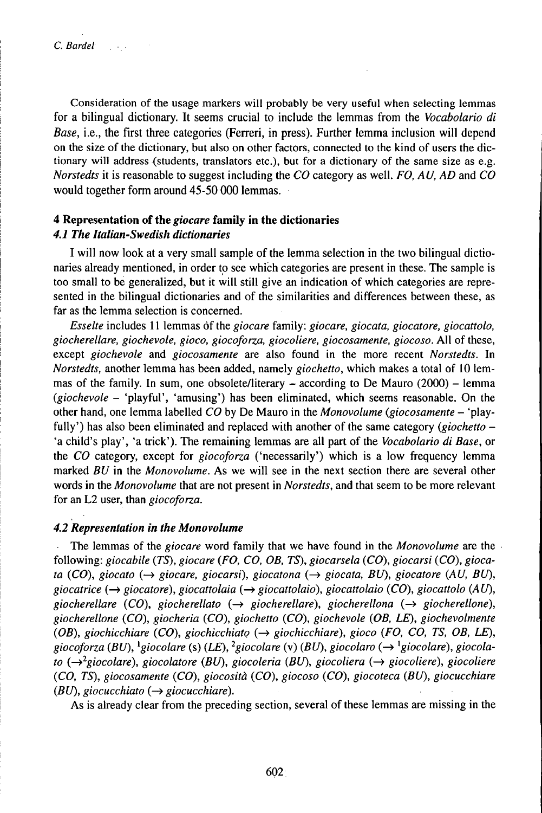Consideration of the usage markers will probably be very useful when selecting lemmas for a bilingual dictionary. It seems crucial to include the lemmas from the *Vocabolario di Base,* i.e., the first three categories (Ferreri, in press). Further lemma inclusion will depend on the size of the dictionary, but also on other factors, connected to the kind of users the dictionary will address (students, translators etc.), but for a dictionary of the same size as e.g. *Norstedts* it is reasonable to suggest including the *CO* category as well. *FO, AU, AD* and *CO* would together form around 45-50 000 lemmas.

# **4 Representation of the** *giocare* **family in the dictionaries**

# *4.1 The Italian-Swedish dictionaries*

I will now look at a very small sample of the lemma selection in the two bilingual dictionaries already mentioned, in order to see which categories are present in these. The sample is too small to be generalized, but it will still give an indication of which categories are represented in the bilingual dictionaries and of the similarities and differences between these, as far as the lemma selection is concerned.

*Esselte* includes <sup>11</sup> lemmas òfthe *giocare* family: *giocare, giocata, giocatore, giocattolo, giocherellare, giochevole, gioco, giocoforza, giocoliere, giocosamente, giocoso.* All of these, except *giochevole* and *giocosamente* are also found in the more recent *Norstedts.* In *Norstedts,* another lemma has been added, namely *giochetto,* which makes a total of 10 lemmas of the family. In sum, one obsolete/literary  $-$  according to De Mauro (2000)  $-$  lemma *(giochevole* - 'playful', 'amusing') has been eliminated, which seems reasonable. On the other hand, one lemma labelled *CO* by De Mauro in the *Monovolume (giocosamente* - 'playfully') has also been eliminated and replaced with another of the same category *(giochetto –* 'a child's play', 'a trick'). The remaining lemmas are all part of the *Vocabolario di Base,* or the *CO* category, except for *giocoforza* ('necessarily') which is a low frequency lemma marked *BU* in the *Monovolume.* As we will see in the next section there are several other words in the *Monovolume* that are not present in *Norstedts,* and that seem to be more relevant for an L2 user, than *giocoforza.*

# *4.2 Representation in the Monovolume*

The lemmas of the *giocare* word family that we have found in the *Monovolume* are the following: *giocabile (TS), giocare (FO, CO, OB, TS), giocarsela (CO), giocarsi (CO), giocata (CO), giocato (^> giocare, giocarsi), giocatona (^> giocata, BU), giocatore (AU, BU), giocatrice (-^ giocatore), giocattolaia* (—» *giocattolaio), giocattolaio (CO), giocattolo (AU), giocherellare (CO), giocherellato (-^ giocherellare), giocherellona (-^ giocherellone), giocherellone (CO), giocheria (CO), giochetto (CO), giochevole (OB, LE), giochevolmente (OB), giochicchiare (CO), giochicchiato (-^ giochicchiare), gioco (FO, CO, TS, OB, LE), giocoforza (BU), \*giocolare* (s) *(LE), <sup>2</sup> giocolare* (v) *(BU), giocolaro (^ \*giocolare), giocolato*  $(\rightarrow^2$ *giocolare*), *giocolatore (BU), giocoleria (BU), giocoliera*  $(\rightarrow$  *giocoliere*), *giocoliere (CO, TS), giocosamente (CO), giocosità (CO), giocoso (CO), giocoteca (BU), giocucchiare (BU), giocucchiato*  $(\rightarrow$  *giocucchiare).* 

As is already clear from the preceding section, several of these lemmas are missing in the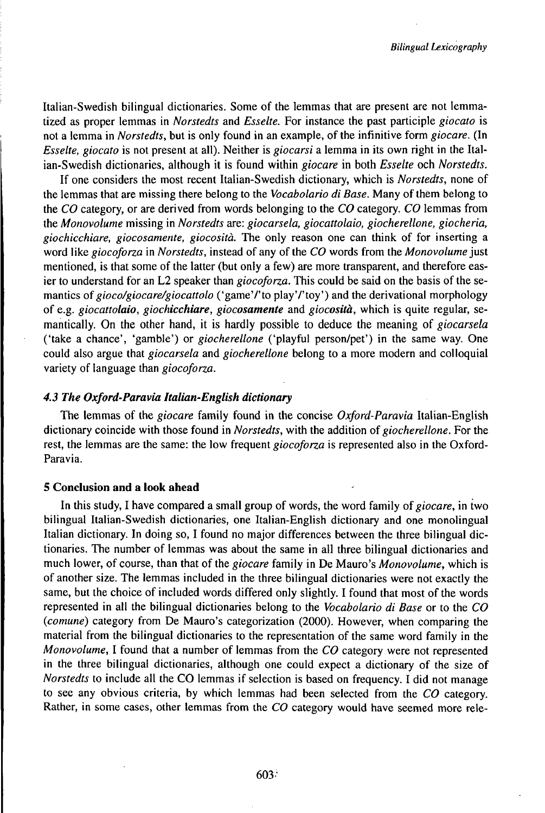Italian-Swedish bilingual dictionaries. Some of the lemmas that are present are not lemmatized as proper lemmas in *Norstedts* and *Esselte.* For instance the past participle *giocato* is not a lemma in *Norstedts,* but is only found in an example, of the infinitive form *giocare.* (In *Esselte, giocato* is not present at all). Neither is *giocarsi* a lemma in its own right in the Italian-Swedish dictionaries, although it is found within *giocare* in both *Esselte* och *Norstedts.*

If one considers the most recent Italian-Swedish dictionary, which is *Norstedts,* none of the lemmas that are missing there belong to the *Vocabolario di Base.* Many of thêm belong to the *CO* category, or are derived from words belonging to the *CO* category. *CO* lemmas from the *Monovolume* missing in *Norstedts* are: *giocarsela, giocattolaio, giocherellone, giocheria, giochicchiare, giocosamente, giocosità.* The only reason one can think of for inserting a word like *giocoforza* in *Norstedts*, instead of any of the *CO* words from the *Monovolume* just mentioned, is that some of the latter (but only a few) are more transparent, and therefore easier to understand for an L2 speaker than *giocoforza.* This could be said on the basis of the semantics of gioco/giocare/giocattolo ('game'/'to play'/'toy') and the derivational morphology of e.g. *giocattolaio, giochicchiare, giocosamente* and *giocosità,* which is quite regular, semantically. On the other hand, it is hardly possible to deduce the meaning of *giocarsela* ('take a chance', 'gamble') or *giocherellone* ('playful person/pet') in the same way. One could also argue that *giocarsela* and *giocherellone* belong to a more modern and colloquial variety of language than *giocoforza.*

### *4.3 The Oxford-Paravia Italian-English dictionary*

The lemmas of the *giocare* family found in the concise *Oxford-Paravia* Italian-English dictionary coincide with those found in *Norstedts,* with the addition *ofgiocherellone.* For the rest, the lemmas are the same: the low frequent *giocoforza* is represented also in the Oxford-Paravia.

### **5 Conclusion and** a **look ahead**

In this study, I have compared a small group of words, the word family of giocare, in two bilingual Italian-Swedish dictionaries, one Italian-English dictionary and one monolingual Italian dictionary. In doing so, I found no major differences between the three bilingual dictionaries. The number of lemmas was about the same in all three bilingual dictionaries and much lower, of course, than that of the *giocare* family in De Mauro's *Monovolume,* which is of another size. The lemmas included in the three bilingual dictionaries were not exactly the same, but the choice of included words differed only slightly. I found that most of the words represented in all the bilingual dictionaries belong to the *Vocabolario di Base* or to the *CO (comune)* category from De Mauro's categorization (2000). However, when comparing the material from the bilingual dictionaries to the representation of the same word family in the *Monovolume,* I found that a number of lemmas from the *CO* category were not represented in the three bilingual dictionaries, although one could expect a dictionary of the size of *Norstedts* to include all the CO lemmas if selection is based on frequency. I did not manage to see any obvious criteria, by which lemmas had been selected from the *CO* category. Rather, in some cases, other lemmas from the *CO* category would have seemed more rele-